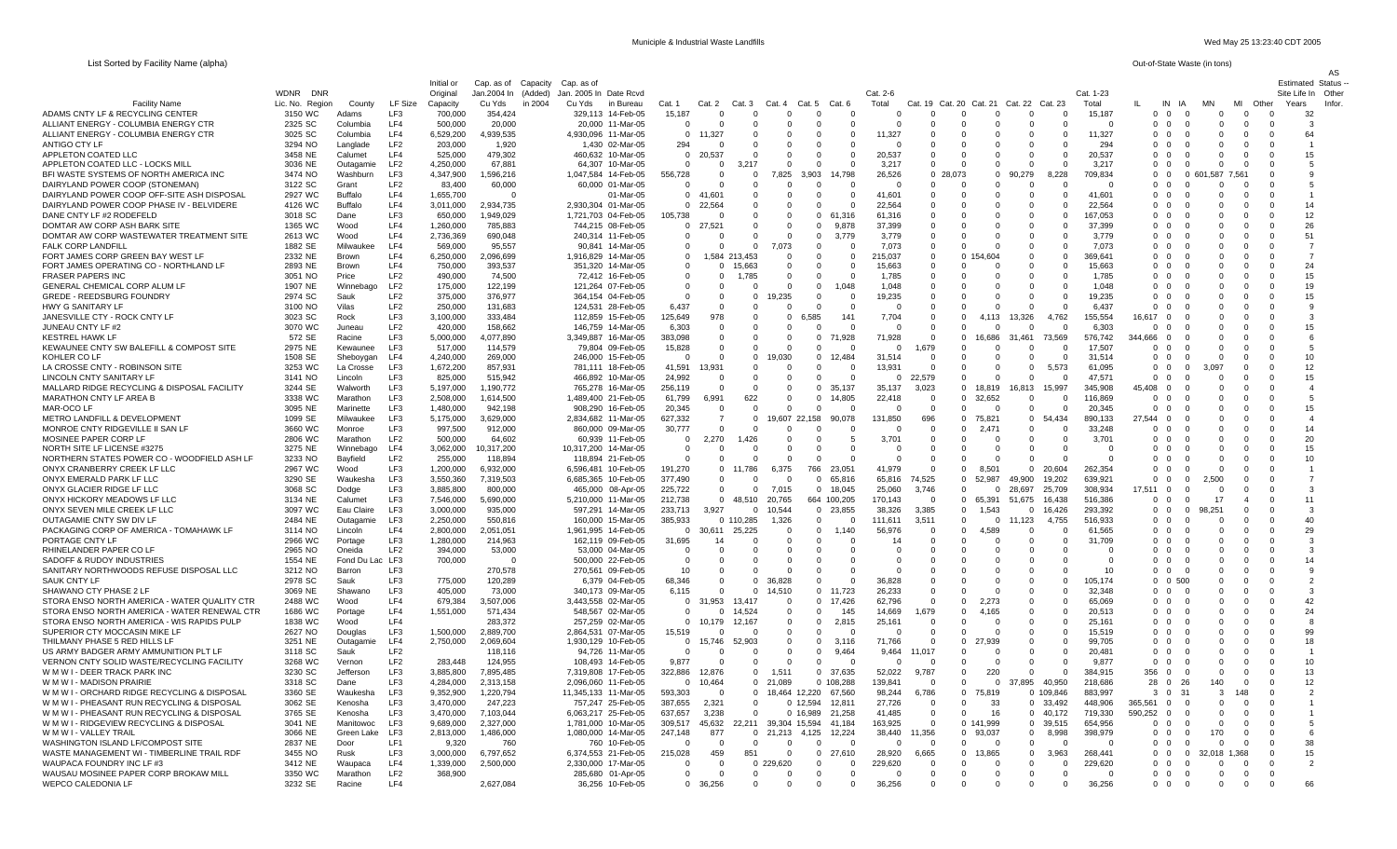AS

|                                                                            |                    |                        |                        | Initial or             | Cap. as of<br>Capacity | Cap. as of                                  |         |                                    |                                |           |                        |                           |                   |                      |                                              |                      |                      |                        |                     |                         |                                                      |                        |                         |                      | <b>Estimated Status</b> |
|----------------------------------------------------------------------------|--------------------|------------------------|------------------------|------------------------|------------------------|---------------------------------------------|---------|------------------------------------|--------------------------------|-----------|------------------------|---------------------------|-------------------|----------------------|----------------------------------------------|----------------------|----------------------|------------------------|---------------------|-------------------------|------------------------------------------------------|------------------------|-------------------------|----------------------|-------------------------|
|                                                                            | WDNR DNR           |                        |                        | Original               | Jan.2004 In<br>(Added) | Jan. 2005 In Date Rcvd                      |         |                                    |                                |           |                        |                           |                   | Cat. 2-6             |                                              |                      |                      |                        | Cat. 1-23           |                         |                                                      |                        |                         |                      | Site Life In Other      |
| <b>Facility Name</b>                                                       | Lic. No. Region    | County                 | LF Size                | Capacity               | in 2004<br>Cu Yds      | Cu Yds<br>in Bureau                         | Cat. 1  | Cat. 2                             | Cat 3                          |           | Cat. 5<br>Cat. 4       | Cat. 6                    |                   | Total                | Cat. 20<br>Cat<br>19                         | Cat 21               |                      | Cat. 22 Cat. 23        | Total               |                         | IN<br>- IA                                           | MN                     | MI                      | Other<br>Years       | Infor                   |
| ADAMS CNTY LF & RECYCLING CENTER<br>ALLIANT ENERGY - COLUMBIA ENERGY CTR   | 3150 WC            | Adams                  | LF3<br>LF4             | 700,000                | 354,424<br>20,000      | 329,113 14-Feb-05                           |         | 15,187<br>$\Omega$                 | $\Omega$<br>$\Omega$           |           | $^{\circ}$             | $\Omega$                  | $\Omega$          | $\Omega$<br>$\Omega$ | $\Omega$<br>$\Omega$<br>$\Omega$<br>$\Omega$ | $\Omega$             | $\Omega$             | $^{\circ}$<br>$\Omega$ | 15,187              | $\mathbf 0$             | $\overline{\mathbf{0}}$<br>0<br>$\Omega$<br>$\Omega$ | $^{\circ}$<br>$\Omega$ | $\mathbf 0$<br>$\Omega$ |                      | 32<br>-3                |
| ALLIANT ENERGY - COLUMBIA ENERGY CTR                                       | 2325 SC<br>3025 SC | Columbia<br>Columbia   | IF4                    | 500,000<br>6,529,200   | 4,939,535              | 20,000 11-Mar-05<br>4,930,096 11-Mar-05     |         | $\mathbf{0}$<br>11,327             |                                |           | $\Omega$<br>$\Omega$   | $\Omega$                  | 0<br>$\Omega$     | 11,327               | $\Omega$<br>$\Omega$                         | $\Omega$             | $\Omega$             | $\Omega$               | 11,327              | $^{\circ}$<br>$\Omega$  | $\Omega$<br>$\Omega$                                 | $\Omega$               | $\Omega$                | $\Omega$<br>$\Omega$ | 64                      |
| ANTIGO CTY LF                                                              | 3294 NO            | Langlade               | LF <sub>2</sub>        | 203,000                | 1,920                  | 1,430<br>02-Mar-05                          |         | 294                                | $\Omega$                       |           | $\Omega$               | 0                         | 0                 | $\Omega$             | $\Omega$<br>$\Omega$                         | $\Omega$             | $\Omega$             | $^{\circ}$             | 294                 | $\mathbf 0$             | $\Omega$<br>$\Omega$                                 | $\Omega$               |                         |                      |                         |
| APPLETON COATED LLC                                                        | 3458 NE            | Calumet                | LF4                    | 525,000                | 479.302                | 10-Mar-05<br>460.632                        |         | $\Omega$<br>20,537                 |                                |           | $\Omega$               | $\Omega$                  | $\Omega$          | 20.537               | $\Omega$<br>$\Omega$                         | $\Omega$             | $\Omega$             | $\Omega$               | 20.537              | $\Omega$                | $\Omega$<br>$\Omega$                                 | $\Omega$               |                         |                      | 15                      |
| APPLETON COATED LLC - LOCKS MILL                                           | 3036 NE            | Outagamie              | LF2                    | 4,250,000              | 67.881                 | 64.307<br>10-Mar-05                         |         | $\Omega$                           | $\Omega$<br>3.217              |           | $\Omega$               | $\Omega$                  | $\Omega$          | 3,217                | $\Omega$<br>$\Omega$                         | $\Omega$             | $\Omega$             | $\Omega$               | 3.217               | $\Omega$                | $\Omega$<br>$\Omega$                                 | $\Omega$               | $\Omega$                | - 0                  | -5                      |
| BFI WASTE SYSTEMS OF NORTH AMERICA INC                                     | 3474 NO            | Washburr               | LF3                    | 4,347,900              | 1,596,216              | 1,047,584 14-Feb-05                         | 556,728 |                                    | - 0                            | $\Omega$  | 7,825<br>3,903         |                           | 14.798            | 26,526               | $\Omega$<br>28.073                           | - 0                  | 90.279               | 8.228                  | 709.834             | $\Omega$                | - 0                                                  | 0 601.587              | 7.561                   | - 0                  |                         |
| DAIRYLAND POWER COOP (STONEMAN)                                            | 3122 SC            | Grant                  | LF <sub>2</sub>        | 83,400                 | 60,000                 | 60,000 01-Mar-05                            |         | $^{\circ}$                         |                                |           | $\Omega$               | $\Omega$                  | $\Omega$          | $^{\circ}$           | $\Omega$<br>0                                | $\Omega$             |                      | 0                      |                     | $\mathbf{0}$            | $\overline{\mathbf{0}}$<br>$\mathbf 0$               |                        | $\Omega$                |                      |                         |
| DAIRYLAND POWER COOP OFF-SITE ASH DISPOSAL                                 | 2927 WC            | Buffalo                | LF4                    | 1,655,700              | $\Omega$               | 01-Mar-05                                   |         | $\Omega$<br>41.601                 |                                |           | $\Omega$               | $\Omega$                  | $\Omega$          | 41.60'               | $\Omega$<br>$\Omega$                         | $\Omega$             | $\Omega$             | $\Omega$               | 41.601              | $\Omega$                | $\Omega$<br>$\Omega$                                 | $\Omega$               | $\Omega$                | - 0                  |                         |
| DAIRYLAND POWER COOP PHASE IV - BELVIDERE                                  | 4126 WC            | <b>Buffalo</b>         | LF4                    | 3,011,000              | 2,934,735              | 2,930,304 01-Mar-05                         |         | $\Omega$<br>22,564                 |                                | $\cap$    | $\Omega$               | $\Omega$                  | $\Omega$          | 22,564               | $\Omega$<br>$\Omega$                         | $\Omega$             | $\Omega$             | $\Omega$               | 22,564              | $\Omega$                | $\Omega$<br>- 0                                      | $\Omega$               | $\Omega$                | $\cap$               | 14                      |
| DANE CNTY LF #2 RODEFELD                                                   | 3018 SC            | Dane                   | LF3                    | 650,000                | 1,949,029              | 1,721,703 04-Feb-05                         | 105,738 |                                    | - 0                            | - 0       | $\Omega$               | $\mathbf{0}$<br>-6°       | 1.316             | 61,316               | $\Omega$<br>$\Omega$                         | - 0                  | $\Omega$             | $\Omega$               | 167.053             | $\Omega$                | $\Omega$<br>-0                                       | $\Omega$               | - 0                     |                      | 12                      |
| DOMTAR AW CORP ASH BARK SITE                                               | 1365 WC            | Wood                   | LF4<br>LF4             | 1,260,000              | 785,883                | 744,215 08-Feb-05                           |         | $\mathbf{0}$<br>27.521<br>$\Omega$ | $\Omega$                       | $\Omega$  | $\Omega$<br>$\Omega$   | $\Omega$                  | 9.878             | 37,399               | $\Omega$<br>$\Omega$<br>$\Omega$<br>$\Omega$ | $\Omega$<br>$\Omega$ | $\Omega$             | $\Omega$<br>$\Omega$   | 37,399<br>3.779     | $\Omega$<br>$\Omega$    | $\Omega$<br>$\Omega$<br>$\Omega$                     | $\Omega$<br>$\Omega$   |                         |                      | 26<br>51                |
| DOMTAR AW CORP WASTEWATER TREATMENT SITE<br><b>FALK CORP LANDFILL</b>      | 2613 WC<br>1882 SE | Wood<br>Milwaukee      | LF4                    | 2,736,369              | 690,048<br>95,557      | 240,314 11-Feb-05<br>14-Mar-05<br>90.841    |         | $\Omega$                           | $\Omega$                       | $\Omega$  | 7,073                  | $\mathbf 0$<br>$\Omega$   | 3,779<br>$\Omega$ | 3,779<br>7.073       | $\Omega$<br>$\Omega$                         | $\Omega$             | $\Omega$<br>$\Omega$ | $\Omega$               | 7.073               | $\Omega$                | -0<br>$\Omega$<br>- 0                                | $\Omega$               | $\cap$                  | $\Omega$             | $\overline{7}$          |
| FORT JAMES CORP GREEN BAY WEST LF                                          | 2332 NE            | Brown                  | LF4                    | 569,000<br>6,250,000   | 2,096,699              | 14-Mar-05<br>1,916,829                      |         | $^{\circ}$                         | 1,584 213,453                  |           | $\Omega$               | $\Omega$                  | $\Omega$          | 215,037              | $\Omega$<br>$\Omega$                         | 54.604               | $\Omega$             | $\Omega$               | 369,641             | $\Omega$                | $\Omega$<br>- 0                                      | $\Omega$               | - 0                     | - 0                  | -7                      |
| FORT JAMES OPERATING CO - NORTHLAND LF                                     | 2893 NE            | Brown                  | LF4                    | 750,000                | 393.537                | 351.320<br>14-Mar-05                        |         | $\Omega$                           | $\Omega$<br>15.663             |           | $\Omega$               | $\Omega$                  |                   | 15.663               | $\Omega$<br>$\Omega$                         |                      |                      | $\Omega$               | 15.663              | $\Omega$                | $\Omega$<br>$\Omega$                                 |                        |                         | $\Omega$             | 24                      |
| <b>FRASER PAPERS INC</b>                                                   | 3051 NO            | Price                  | LF <sub>2</sub>        | 490,000                | 74,500                 | 72,412 16-Feb-05                            |         | $^{\circ}$                         | 1,785<br>$\Omega$              |           | $\Omega$               | $\Omega$                  |                   | 1,785                | $\Omega$<br>$\Omega$                         | $\Omega$             | $\Omega$             | $\Omega$               | 1,785               | $\mathbf 0$             | $\Omega$<br>$\Omega$                                 | $\Omega$               | $\Omega$                | $\Omega$             | 15                      |
| GENERAL CHEMICAL CORP ALUM LF                                              | 1907 NE            | Winnebago              | LF2                    | 175,000                | 122,199                | 121,264 07-Feb-05                           |         | $\Omega$                           | $\Omega$                       |           | $\Omega$               | $\mathbf 0$               | 1.048             | 1.048                | $\Omega$<br>$\Omega$                         | - 0                  | $\Omega$             | $\Omega$               | 1.048               | $\Omega$                | - 0<br>- 0                                           | $\Omega$               | $\Omega$                | $\Omega$             | 19                      |
| <b>GREDE - REEDSBURG FOUNDRY</b>                                           | 2974 SC            | Sauk                   | LF <sub>2</sub>        | 375,000                | 376,977                | 364,154 04-Feb-05                           |         | $\Omega$                           | $\Omega$                       | $\Omega$  | 9,235                  | 0                         | $\Omega$          | 19,235               | $\Omega$<br>$\Omega$                         | $\Omega$             | $\Omega$             | $\Omega$               | 19,235              | $\Omega$                | $\Omega$<br>- 0                                      | $\Omega$               |                         | - 0                  | 15                      |
| HWY G SANITARY LF                                                          | 3100 NO            | Vilas                  | LF2                    | 250,000                | 131,683                | 124,531<br>28-Feb-05                        |         | 6,437                              | $\Omega$                       |           | $\Omega$               | $\Omega$                  | $\Omega$          | $\Omega$             | $\Omega$<br>$\Omega$                         | $\Omega$             | $\Omega$             | $\Omega$               | 6.437               | $\Omega$                | $\Omega$<br>$\Omega$                                 |                        |                         |                      |                         |
| JANESVILLE CTY - ROCK CNTY LF                                              | 3023 SC            | Rock                   | LF3                    | 3,100,000              | 333.484                | 112.859 15-Feb-05                           |         | 125.649                            | 978                            | $\Omega$  | 6.585<br>$\Omega$      |                           | 141               | 7.704                | $\Omega$<br>$\Omega$                         | 4.113                | 13.326               | 4.762                  | 155.554             | 16.617                  | $\Omega$<br>$\Omega$                                 |                        |                         |                      | $\mathcal{R}$           |
| JUNEAU CNTY LF #2                                                          | 3070 WC            | Juneau                 | LF <sub>2</sub>        | 420,000                | 158,662                | 146,759<br>14-Mar-05                        |         | 6,303                              | $\cap$                         | $\Omega$  | $\Omega$               | $\Omega$                  |                   | $\Omega$             | $\Omega$<br>$\Omega$                         | $\Omega$             | $\Omega$             | $\Omega$               | 6,303               | $\Omega$                | $\Omega$                                             |                        |                         |                      | 15                      |
| <b>KESTREL HAWK LF</b>                                                     | 572 SE             | Racine                 | LF3                    | 5,000,000              | 4,077,890              | 3,349,887<br>16-Mar-05                      | 383,098 |                                    | $\Omega$                       | $\Omega$  | $\Omega$               | $^{\circ}$<br>71,928      |                   | 71,928               | 0<br>$\Omega$                                | 16,686               | 31,461               | 73,569                 | 576,742             | 344,666                 | $\Omega$<br>-0                                       |                        |                         | - 0                  |                         |
| KEWAUNEE CNTY SW BALEFILL & COMPOST SITE<br>KOHLER CO LF                   | 2975 NE            | Kewaunee               | LF3<br>LF4             | 517,000<br>4,240,000   | 114,579<br>269,000     | 79,804 09-Feb-05<br>246.000 15-Feb-05       |         | 15,828<br>$\Omega$                 | $\Omega$<br>$\Omega$           | $\Omega$  | $\Omega$<br>19.030     | $\Omega$<br>$\Omega$      | 12.484            | $\Omega$<br>31.514   | 1,679<br>$\Omega$<br>$\Omega$<br>$\Omega$    | $\Omega$<br>$\Omega$ | $\Omega$<br>$\Omega$ | $\Omega$<br>$\Omega$   | 17,507<br>31.514    | $\mathbf 0$<br>$\Omega$ | $\Omega$<br>$\Omega$<br>- 0<br>-0                    | U<br>$\Omega$          | - 0                     | $\Omega$<br>$\Omega$ | -5<br>10 <sup>10</sup>  |
| LA CROSSE CNTY - ROBINSON SITE                                             | 1508 SE<br>3253 WC | Sheboygan<br>La Crosse | LF3                    | 1,672,200              | 857,931                | 781.111<br>18-Feb-05                        |         | 41,591                             | 13,931                         |           | $\Omega$               | $\Omega$                  | $\Omega$          | 13,931               | $\Omega$<br>$\Omega$                         | $\Omega$             | $\Omega$             | 5.573                  | 61,095              | $\Omega$                | $\Omega$<br>$\Omega$                                 |                        | $\Omega$                |                      | 12                      |
| LINCOLN CNTY SANITARY LF                                                   | 3141 NO            | Lincoln                | LF3                    | 825,000                | 515,942                | 466,892<br>10-Mar-05                        |         | 24,992                             | $^{\circ}$                     | $\Omega$  | 0                      | $\mathbf 0$               | $\Omega$          | 0                    | 22,579<br>$\mathbf 0$                        | $\overline{0}$       | $\Omega$             | $\Omega$               | 47,571              | $\mathbf 0$             | $\mathbf{0}$<br>-0                                   | $\Omega$               |                         |                      | 15                      |
| MALLARD RIDGE RECYCLING & DISPOSAL FACILITY                                | 3244 SE            | Walworth               | LF3                    | 5.197.000              | 1.190.772              | 765.278 16-Mar-05                           | 256.119 |                                    | $\Omega$                       | $\Omega$  | $\Omega$               | $\Omega$<br>35 137        |                   | 35.137               | 3.023<br>$\Omega$                            | 18.819               | 16.813               | 15 997                 | 345.908             | 45.408                  | $\Omega$<br>$\Omega$                                 |                        |                         |                      |                         |
| MARATHON CNTY LF AREA B                                                    | 3338 WC            | Marathon               | LF3                    | 2,508,000              | 1.614.500              | 1,489,400 21-Feb-05                         |         | 61.799                             | 6.991                          | 622       | $\Omega$               | $\Omega$                  | 14.805            | 22,418               | $\Omega$<br>$\Omega$                         | 32.652               | $\Omega$             | $\Omega$               | 116.869             | $\Omega$                | $\Omega$<br>$\cap$                                   | $\Omega$               | - 0                     | - 0                  | -5                      |
| MAR-OCO LF                                                                 | 3095 NE            | Marinette              | LF3                    | 1,480,000              | 942,198                | 908,290 16-Feb-05                           |         | 20,345                             | $\Omega$                       | $\cap$    | $\Omega$               | $\Omega$                  | $\cap$            | $\Omega$             | $\Omega$<br>$\Omega$                         | $\Omega$             | $\Omega$             | $\Omega$               | 20,345              | $\Omega$                | $\Omega$<br>- 0                                      |                        |                         | - 0                  | 15                      |
| METRO LANDFILL & DEVELOPMENT                                               | 1099 SE            | Milwaukee              | LF3                    | 5,175,000              | 3,629,000              | 2,834,682 11-Mar-05                         | 627,332 |                                    |                                |           | 19,607 22,158          |                           | 90,078            | 131,850              | 696<br>$\mathbf 0$                           | 75.821               | $\Omega$             | 54.434                 | 890.133             | 27,544                  | $\Omega$<br>$\Omega$                                 |                        |                         | $\Omega$             |                         |
| MONROE CNTY RIDGEVILLE II SAN LF                                           | 3660 WC            | Monroe                 | LF3                    | 997.500                | 912,000                | 860.000 09-Mar-05                           |         | 30,777                             | $\Omega$                       | - 0       | $\Omega$               | $\Omega$                  | $\Omega$          | $\Omega$             | $\Omega$<br>$\Omega$                         | 2.471                | $\Omega$             | $\Omega$               | 33.248              | $\Omega$                | $\Omega$<br>- 0                                      | $\Omega$               | - 0                     | $\Omega$             | 14                      |
| MOSINEE PAPER CORP LF                                                      | 2806 WC            | Marathon               | LF <sub>2</sub>        | 500,000                | 64,602                 | 60,939 11-Feb-05                            |         | $\mathbf 0$                        | 2.270                          | 1,426     | $\overline{0}$         | $\mathbf 0$               | 5                 | 3,701                | $\mathbf 0$<br>0                             | $\Omega$             | $\mathbf 0$          | $^{\circ}$             | 3,701               | $\mathbf 0$             | $\Omega$<br>-0                                       | $\Omega$               |                         | - 0                  | 20                      |
| NORTH SITE LF LICENSE #3275                                                | 3275 NE            | Winnebago              | LF4                    | 3,062,000              | 10,317,200             | 10,317,200<br>14-Mar-05                     |         | 0                                  |                                |           | $\Omega$               | $\mathbf 0$               | $\Omega$          | $^{\circ}$           | 0<br>-0                                      | - 0                  | $\Omega$             | $^{\circ}$             | - 0                 | $\overline{0}$          | $\Omega$<br>0                                        | 0                      |                         |                      | 15                      |
| NORTHERN STATES POWER CO - WOODFIELD ASH LF<br>ONYX CRANBERRY CREEK LF LLC | 3233 NO<br>2967 WC | Bayfield<br>Wood       | LF <sub>2</sub><br>LF3 | 255,000<br>1,200,000   | 118,894<br>6,932,000   | 118,894 21-Feb-05<br>6,596,481<br>10-Feb-05 | 191,270 | $\Omega$                           | $\Omega$<br>11.786<br>$\Omega$ | $\Omega$  | $\Omega$<br>6.375      | $\Omega$<br>23.051<br>766 | $\Omega$          | $\Omega$<br>41.979   | $\Omega$<br>$\Omega$<br>$\Omega$<br>$\Omega$ | $\Omega$<br>8.501    | $\Omega$<br>$\Omega$ | $\Omega$<br>20.604     | $\Omega$<br>262.354 | $\Omega$<br>$\Omega$    | $\Omega$<br>$\Omega$<br>$\Omega$<br>- 0              | $\Omega$<br>$\Omega$   | - 0                     |                      | 10                      |
| ONYX EMERALD PARK LF LLC                                                   | 3290 SE            | Waukesha               | LF3                    | 3,550,360              | 7,319,503              | 6,685,365 10-Feb-05                         | 377,490 |                                    | $\Omega$                       |           | $\Omega$               | $\Omega$<br>65,816        |                   | 65,816               | 74,525<br>$\Omega$                           | 52.987               | 49.900               | 19,202                 | 639,921             | $\Omega$                | $\Omega$<br>$\Omega$                                 | 2.500                  |                         |                      |                         |
| ONYX GLACIER RIDGE LF LLC                                                  | 3068 SC            | Dodge                  | LF3                    | 3,885,800              | 800,000                | 465,000 08-Apr-05                           | 225,722 |                                    | $^{\circ}$                     | $\Omega$  | 7,015                  | $\mathbf 0$<br>18,045     |                   | 25,060               | 3,746<br>$\overline{0}$                      | 0                    | 28,697               | 25,709                 | 308,934             | 17,511                  | $\overline{\mathbf{0}}$<br>$\mathbf 0$               |                        |                         |                      |                         |
| ONYX HICKORY MEADOWS LF LLC                                                | 3134 NE            | Calumet                | LF3                    | 7,546,000              | 5.690.000              | 5.210.000 11-Mar-05                         | 212.738 |                                    | $\overline{0}$<br>48.510       |           | 20.765                 | 664 100.205               |                   | 170.143              | $\Omega$<br>$\Omega$                         | 65.391               | 51.675               | 16.438                 | 516.386             | $\Omega$                | $\overline{0}$<br>$\Omega$                           | 17                     |                         | $\Omega$             | 11                      |
| ONYX SEVEN MILE CREEK LF LLC                                               | 3097 WC            | Eau Claire             | LF3                    | 3,000,000              | 935,000                | 597,291 14-Mar-05                           | 233,713 |                                    | 3.927                          | $\Omega$  | 10,544                 | 23,855<br>$\Omega$        |                   | 38,326               | 3,385<br>$\overline{0}$                      | 1,543                | $\Omega$             | 16426                  | 293,392             | $\mathbf{0}$            | $\Omega$<br>$\overline{0}$                           | 98.25                  | $\Omega$                | $\Omega$             | $\mathbf{B}$            |
| OUTAGAMIE CNTY SW DIV LF                                                   | 2484 NE            | Outagamie              | LF3                    | 2,250,000              | 550,816                | 160,000 15-Mar-05                           | 385,933 |                                    | 0 110,285                      |           | 1,326                  | $\mathbf 0$               | $\Omega$          | 111,611              | 3,511<br>$\mathbf 0$                         | $\mathbf 0$          | 123                  | 4,755                  | 516,933             | $\mathbf 0$             | $\Omega$<br>-0                                       | $\Omega$               |                         |                      | 40                      |
| PACKAGING CORP OF AMERICA - TOMAHAWK LF                                    | 3114 NO            | Lincoln                | LF4                    | 2,800,000              | 2,051,051              | 1,961,995 14-Feb-05                         |         | $\Omega$<br>30.611                 | 25.225                         |           | $\Omega$               | $\Omega$                  | 1.140             | 56,976               | $\Omega$<br>$\Omega$                         | 589                  |                      | $\Omega$               | 61,565              | $\Omega$                | $\Omega$<br>$\Omega$                                 | 0                      |                         |                      | 29                      |
| PORTAGE CNTY LF                                                            | 2966 WC            | Portage                | LF3                    | 1,280,000              | 214.963                | 162.119 09-Feb-05                           |         | 31,695                             | 14                             | $\Omega$  | $\Omega$               | $\Omega$                  | $\Omega$          | 14                   | $\Omega$<br>$\Omega$                         | $\Omega$             | $\Omega$             | $\Omega$               | 31.709              | $\Omega$                | $\Omega$<br>- 0                                      | $\Omega$               | $\Omega$                | - 0                  | $\mathcal{R}$           |
| RHINELANDER PAPER CO LF                                                    | 2965 NO            | Oneida                 | LF <sub>2</sub>        | 394,000                | 53,000                 | 53,000 04-Mar-05                            |         | $\Omega$                           | $\Omega$                       | $\Omega$  | $\Omega$               | $\Omega$                  | $\Omega$          | $\Omega$             | $\Omega$<br>$\Omega$                         | $\Omega$             | $\Omega$             | $\Omega$               | - വ                 | $\Omega$                | - 0<br>- 0                                           | $\Omega$               | $\cap$                  | - 0                  | $\mathbf{B}$            |
| SADOFF & RUDOY INDUSTRIES                                                  | 1554 NE            | Fond Du Lac<br>Barron  | LF3<br>LF3             | 700,000                | 0                      | 500,000 22-Feb-05                           |         | $\mathbf 0$<br>10                  | $\Omega$                       |           | $\Omega$<br>$\epsilon$ | 0<br>$\Omega$             |                   | $\Omega$<br>$\Omega$ | $\Omega$<br>$\Omega$<br>$\Omega$<br>$\Omega$ |                      | $\Omega$             | $\Omega$<br>$\Omega$   | 10                  | $\Omega$<br>$\Omega$    | $\Omega$<br>$\Omega$<br>$\Omega$                     |                        |                         | $\Omega$             | 14                      |
| SANITARY NORTHWOODS REFUSE DISPOSAL LLC<br><b>SAUK CNTY LF</b>             | 3212 NO<br>2978 SC | Sauk                   | LF3                    | 775,000                | 270,578<br>120,289     | 270,561 09-Feb-05<br>6,379 04-Feb-05        |         | 68.346                             | $\Omega$                       | $\Omega$  | 36.828                 | $\Omega$                  | $\cap$            | 36828                | $\Omega$<br>$\Omega$                         | $\Omega$             | $\Omega$             | $\Omega$               | 105 174             | $\Omega$                | -0<br>0.500                                          | $\Omega$               | $\Omega$                | $\Omega$<br>$\Omega$ | $\mathcal{P}$           |
| SHAWANO CTY PHASE 2 LF                                                     | 3069 NE            | Shawano                | LF3                    | 405,000                | 73,000                 | 340,173 09-Mar-05                           |         | 6,115                              | $\Omega$                       | - 0       | 14,510                 | $\mathbf{0}$              | 11,723            | 26,233               | $\Omega$<br>$\Omega$                         | - 0                  | $\Omega$             | $\Omega$               | 32,348              | $\Omega$                | $\Omega$<br>- 0                                      | $\Omega$               | $\Omega$                | $\Omega$             | -3                      |
| STORA ENSO NORTH AMERICA - WATER QUALITY CTR                               | 2488 WC            | Wood                   | LF4                    | 679,384                | 3,507,006              | 3,443,558 02-Mar-05                         |         | $\Omega$                           | 31,953<br>13.417               |           | $\Omega$               | $\Omega$                  | 17,426            | 62,796               | $\Omega$<br>$\Omega$                         | 2,273                | $\Omega$             | $\Omega$               | 65,069              | $\Omega$                | $\Omega$<br>$\Omega$                                 | $\Omega$               |                         |                      | 42                      |
| STORA ENSO NORTH AMERICA - WATER RENEWAL CTR                               | 1686 WC            | Portage                | LF4                    | 1,551,000              | 571,434                | 548,567 02-Mar-05                           |         | $\Omega$                           | 14.524<br>$\Omega$             |           | $\Omega$               | $\Omega$                  | 145               | 14,669               | 1,679<br>$\Omega$                            | 4,165                | $\Omega$             | $\Omega$               | 20,513              | $\Omega$                | $\Omega$<br>-0                                       | $\Omega$               |                         |                      | 24                      |
| STORA ENSO NORTH AMERICA - WIS RAPIDS PULF                                 | 1838 WC            | Wood                   | LF4                    |                        | 283,372                | 257.259 02-Mar-05                           |         | $\Omega$<br>10 179                 | 12.167                         |           | $\Omega$               | $\Omega$                  | 2.815             | 25.161               | $\Omega$<br>$\Omega$                         | $\cap$               | $\Omega$             | $\Omega$               | 25.161              | $\Omega$                | - 0<br>- 0                                           | $\Omega$               | $\cap$                  | $\Omega$             |                         |
| SUPERIOR CTY MOCCASIN MIKE LP                                              | 2627 NO            | Douglas                | LF3                    | 1,500,000              | 2,889,700              | 2,864,531<br>07-Mar-05                      |         | 15,519                             |                                | - 0       | $\Omega$               | $\Omega$                  |                   | $\Omega$             | $\Omega$<br>$\Omega$                         | $\cap$               | $\Omega$             | $\Omega$               | 15.519              | $\Omega$                | - 0<br>- 0                                           | $\Omega$               | - 0                     | - 0                  | 99                      |
| THILMANY PHASE 5 RED HILLS LF                                              | 3251 NE            | Outagamie              | LF4                    | 2,750,000              | 2.069.604              | 1,930,129 10-Feb-05                         |         | $\Omega$                           | 52.903<br>15.746               |           | $\Omega$               | $\Omega$                  | 3.116             | 71,766               | $\Omega$<br>$\Omega$                         | 27.939               | $\Omega$             | $\Omega$               | 99.705              | $\Omega$                | $\Omega$<br>$\Omega$                                 |                        |                         |                      | 18                      |
| US ARMY BADGER ARMY AMMUNITION PLT LF                                      | 3118 SC            | Sauk                   | LF <sub>2</sub>        |                        | 118,116                | 94,726 11-Mar-05                            |         | $\Omega$                           |                                |           | $\Omega$               | $\mathbf 0$               | 9,464             | 9,464                | 11,017<br>$\Omega$                           | $\Omega$             | $\Omega$             | $\Omega$               | 20.481              | $\mathbf{0}$            | $\Omega$<br>$\Omega$                                 | U                      |                         | - 0                  |                         |
| VERNON CNTY SOLID WASTE/RECYCLING FACILITY                                 | 3268 WC            | Vernon                 | LF <sub>2</sub>        | 283,448                | 124,955                | 108,493 14-Feb-05                           |         | 9,877                              | $\Omega$                       | $\Omega$  | $\Omega$               | $\Omega$                  |                   | $\Omega$             | $\Omega$<br>- 0                              | - 0                  | $\Omega$             | $\Omega$               | 9.877               | $\Omega$                | - 0<br>-0                                            | $\Omega$               | $\Omega$                |                      | 10                      |
| W M W I - DEER TRACK PARK INC<br>W M W I - MADISON PRAIRIE                 | 3230 SC            | Jefferson              | LF3<br>LF3             | 3,885,800<br>4,284,000 | 7,895,485              | 7,319,808<br>17-Feb-05                      |         | 322,886<br>$\Omega$                | 12,876                         | $\Omega$  | 1.511<br>21.089        | 0 37,635<br>0.108.288     |                   | 52,022               | 9,787<br>$\mathbf 0$<br>$\Omega$<br>$\Omega$ | 220<br>$\Omega$      | $\Omega$<br>37,895   | $\mathbf 0$<br>40.950  | 384,915<br>218.686  | 356<br>28               | $\mathbf 0$<br>0<br>$\Omega$<br>26                   | $\Omega$<br>140        |                         |                      | 13<br>12                |
| W M W I - ORCHARD RIDGE RECYCLING & DISPOSAL                               | 3318 SC<br>3360 SE | Dane<br>Waukesha       | 1 F3                   | 9,352,900              | 2,313,158<br>1,220,794 | 2,096,060 11-Feb-05<br>11,345,133 11-Mar-05 | 593,303 |                                    | 10,464<br>$\Omega$             | $\Omega$  | 18,464 12,220          | 67,560                    |                   | 139,841<br>98,244    | $\Omega$<br>6.786                            | 75.819               |                      | 0 109,846              | 883.997             | $\mathbf{B}$            | $\Omega$<br>-31                                      | ્વ                     | 148                     | $\Omega$             | $\mathcal{P}$           |
| W M W I - PHEASANT RUN RECYCLING & DISPOSAL                                | 3062 SE            | Kenosha                | LF3                    | 3,470,000              | 247,223                | 757,247 25-Feb-05                           | 387,655 |                                    | 2,321                          | $\Omega$  | 0 12.594               | 12.81                     |                   | 27,726               | $\Omega$<br>$\Omega$                         | 33                   | $\Omega$             | -33.492                | 448,906             | 365,561                 | $\Omega$<br>- 0                                      | $\Omega$               | $\Omega$                | - 0                  |                         |
| W M W I - PHEASANT RUN RECYCLING & DISPOSAL                                | 3765 SE            | Kenosha                | LF3                    | 3,470,000              | 7,103,044              | 6.063.217 25-Feb-05                         | 637.657 |                                    | 3.238                          |           | 0 16.989               | 21.258                    |                   | 41.485               | $\Omega$<br>$\Omega$                         | 16                   | $\Omega$             | 40.172                 | 719.330             | 590.252                 | $\Omega$<br>$\Omega$                                 |                        |                         |                      |                         |
| W M W I - RIDGEVIEW RECYCLING & DISPOSAL                                   | 3041 NE            | Manitowoc              | LF3                    | 9,689,000              | 2,327,000              | 1,781,000 10-Mar-05                         | 309,517 |                                    | 45,632                         |           | 22,211 39,304 15,594   | 41.18                     |                   | 163,925              | $\Omega$                                     | 0 141,999            |                      | $\mathbf 0$<br>39,515  | 654,956             | $\mathbf 0$             | $\overline{0}$<br>$\overline{0}$                     | $\Omega$               | $\Omega$                | $\Omega$             |                         |
| W M W I - VALLEY TRAIL                                                     | 3066 NE            | Green Lake             | LF3                    | 2,813,000              | 1,486,000              | 1,080,000 14-Mar-05                         | 247,148 |                                    | 877                            | $\Omega$  | 21,213<br>4,125        | 12,224                    |                   | 38,440               | 11,356<br>$\Omega$                           | 93,037               | $\Omega$             | 8,998                  | 398,979             | $\mathbf 0$             | - 0<br>- 0                                           | 170                    | $\Omega$                | $\Omega$             |                         |
| WASHINGTON ISLAND LF/COMPOST SITE                                          | 2837 NE            | Door                   | LF1                    | 9,320                  | 760                    | 760 10-Feb-05                               |         | - 0                                | $\Omega$                       | $\Omega$  | $\overline{0}$         | 0                         | - 0               | $\Omega$             | 0<br>$\Omega$                                | $\Omega$             | $\Omega$             | $\Omega$               | - വ                 | $\mathbf 0$             | $\overline{\mathbf{0}}$<br>$\mathbf 0$               | $\Omega$               | $\Omega$                | $\Omega$             | 38                      |
| WASTE MANAGEMENT WI - TIMBERLINE TRAIL RDF                                 | 3455 NO            | Rusk                   | LF3                    | 3,000,000              | 6,797,652              | 6,374,553 21-Feb-05                         | 215,028 |                                    | 459                            | 851       | $\Omega$               | 0, 27.610                 |                   | 28,920               | 6,665<br>$\Omega$                            | 13,865               | $\Omega$             | 3.963                  | 268.441             | $\Omega$                | $\Omega$<br>$\Omega$                                 | 32,018                 | 1.368                   | - 0                  | 15                      |
| WAUPACA FOUNDRY INC LF #3                                                  | 3412 NE            | Waupaca                | LF4                    | 1,339,000              | 2,500,000              | 2,330,000 17-Mar-05                         |         | $\Omega$                           | $\Omega$                       | 0 229,620 |                        | $\Omega$                  | $\Omega$          | 229,620              | $\Omega$<br>$\Omega$                         | - 0                  | $\Omega$             | $\Omega$               | 229,620             | $\Omega$                | $\Omega$<br>$\Omega$                                 | $\Omega$               | $\Omega$                | $\Omega$             | $\mathcal{P}$           |
| WAUSAU MOSINEE PAPER CORP BROKAW MILL                                      | 3350 WC            | Marathon               | LF <sub>2</sub>        | 368,900                |                        | 285,680 01-Apr-05                           |         | $\Omega$                           | $\Omega$                       | $\Omega$  | - 0                    | $\Omega$                  | $\Omega$          | $\Omega$             | $\Omega$<br>$\Omega$                         | $\Omega$             | $\Omega$             | $\Omega$               | - 0                 | $\Omega$                | - 0<br>$\Omega$                                      | $\Omega$               | $\Omega$                | - 0                  |                         |
| WEPCO CALEDONIA LF                                                         | 3232 SE            | Racine                 | LF4                    |                        | 2,627,084              | 36,256 10-Feb-05                            |         | 0 36,256                           |                                | $\Omega$  | $\Omega$               | $\mathbf 0$               | $\Omega$          | 36,256               | $\Omega$<br>$\Omega$                         | $\Omega$             | $\Omega$             | $\Omega$               | 36,256              | $\Omega$                | $\Omega$<br>$\Omega$                                 | $\Omega$               | $\Omega$                | $\Omega$             | 66                      |